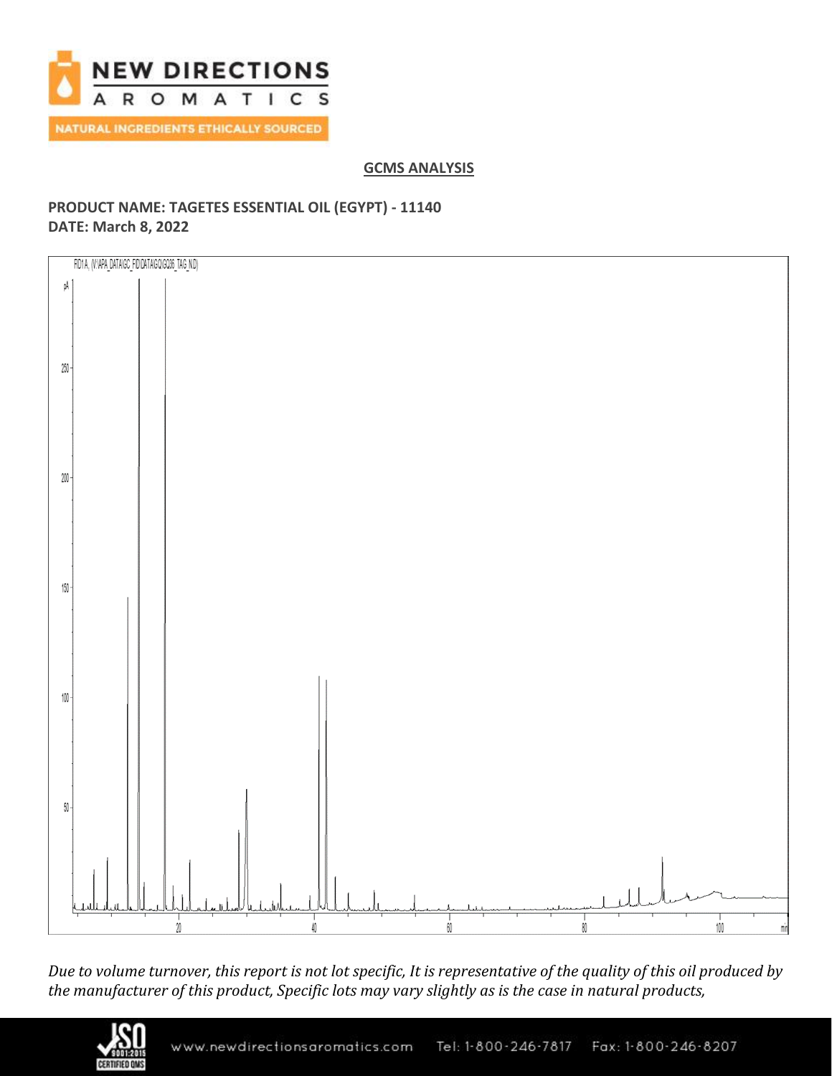

# **GCMS ANALYSIS**

# **PRODUCT NAME: TAGETES ESSENTIAL OIL (EGYPT) - 11140 DATE: March 8, 2022**



*Due to volume turnover, this report is not lot specific, It is representative of the quality of this oil produced by the manufacturer of this product, Specific lots may vary slightly as is the case in natural products,*

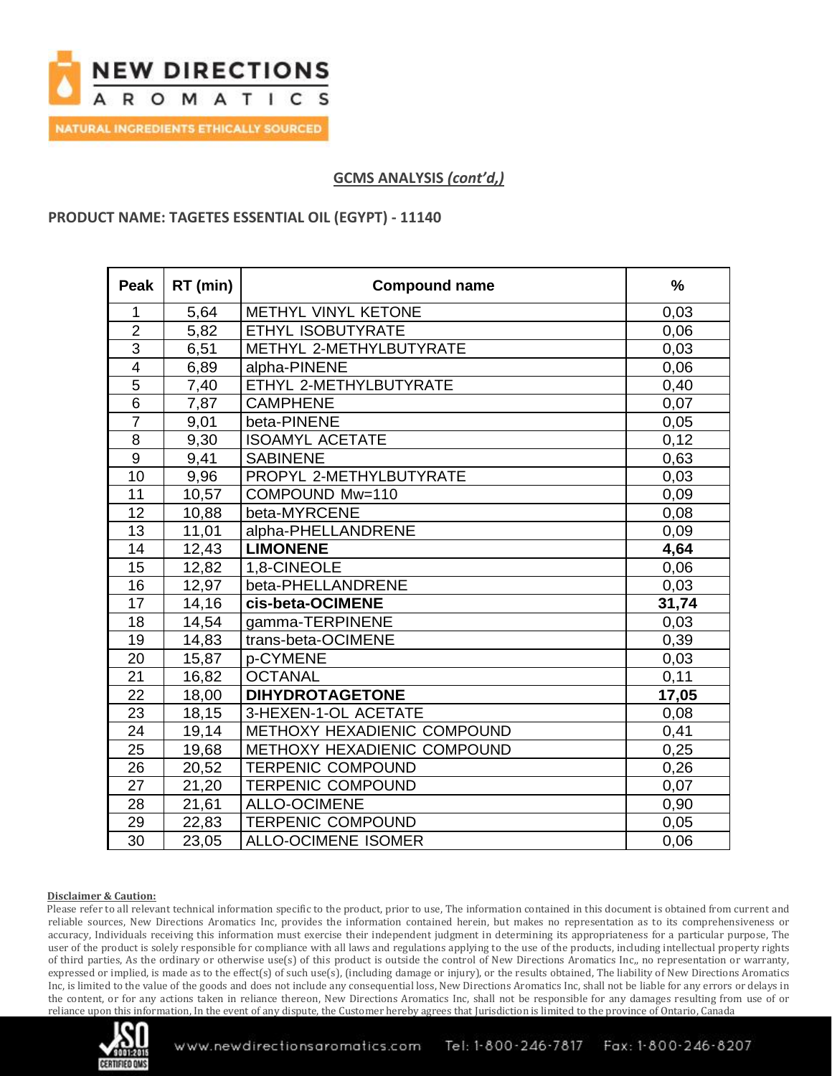

## **GCMS ANALYSIS** *(cont'd,)*

## **PRODUCT NAME: TAGETES ESSENTIAL OIL (EGYPT) - 11140**

| <b>Peak</b>     | RT (min) | <b>Compound name</b>        | $\frac{9}{6}$ |
|-----------------|----------|-----------------------------|---------------|
| 1               | 5,64     | METHYL VINYL KETONE         | 0,03          |
| $\overline{2}$  | 5,82     | ETHYL ISOBUTYRATE           | 0,06          |
| $\overline{3}$  | 6,51     | METHYL 2-METHYLBUTYRATE     | 0,03          |
| $\overline{4}$  | 6,89     | alpha-PINENE                | 0,06          |
| 5               | 7,40     | ETHYL 2-METHYLBUTYRATE      | 0,40          |
| 6               | 7,87     | <b>CAMPHENE</b>             | 0,07          |
| $\overline{7}$  | 9,01     | beta-PINENE                 | 0,05          |
| 8               | 9,30     | <b>ISOAMYL ACETATE</b>      | 0,12          |
| 9               | 9,41     | <b>SABINENE</b>             | 0,63          |
| 10              | 9,96     | PROPYL 2-METHYLBUTYRATE     | 0,03          |
| 11              | 10,57    | COMPOUND Mw=110             | 0,09          |
| 12              | 10,88    | beta-MYRCENE                | 0,08          |
| 13              | 11,01    | alpha-PHELLANDRENE          | 0,09          |
| 14              | 12,43    | <b>LIMONENE</b>             | 4,64          |
| 15              | 12,82    | 1,8-CINEOLE                 | 0,06          |
| 16              | 12,97    | beta-PHELLANDRENE           | 0,03          |
| 17              | 14,16    | cis-beta-OCIMENE            | 31,74         |
| 18              | 14,54    | gamma-TERPINENE             | 0,03          |
| 19              | 14,83    | trans-beta-OCIMENE          | 0,39          |
| 20              | 15,87    | p-CYMENE                    | 0,03          |
| 21              | 16,82    | <b>OCTANAL</b>              | 0,11          |
| 22              | 18,00    | <b>DIHYDROTAGETONE</b>      | 17,05         |
| 23              | 18,15    | 3-HEXEN-1-OL ACETATE        | 0,08          |
| 24              | 19,14    | METHOXY HEXADIENIC COMPOUND | 0,41          |
| $\overline{25}$ | 19,68    | METHOXY HEXADIENIC COMPOUND | 0,25          |
| 26              | 20,52    | <b>TERPENIC COMPOUND</b>    | 0,26          |
| 27              | 21,20    | <b>TERPENIC COMPOUND</b>    | 0,07          |
| 28              | 21,61    | <b>ALLO-OCIMENE</b>         | 0,90          |
| 29              | 22,83    | <b>TERPENIC COMPOUND</b>    | 0,05          |
| 30              | 23,05    | <b>ALLO-OCIMENE ISOMER</b>  | 0,06          |

### **Disclaimer & Caution:**

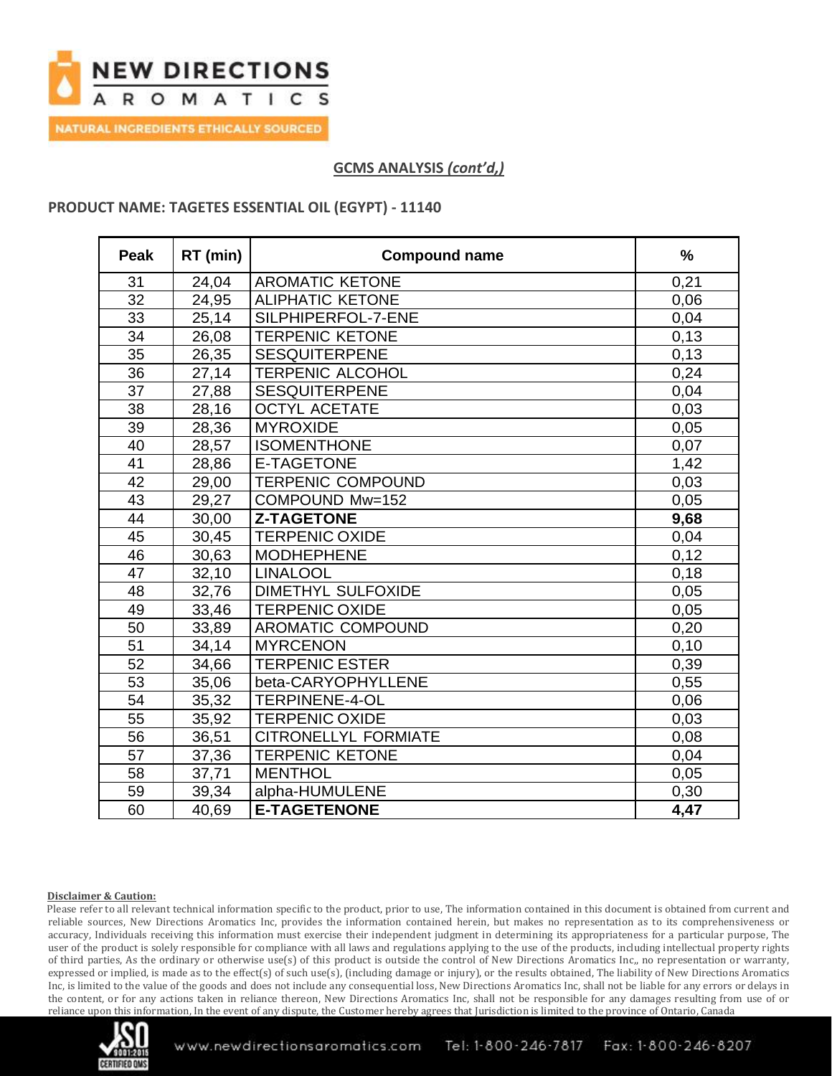

**NATURAL INGREDIENTS ETHICALLY SOURCED** 

# **GCMS ANALYSIS** *(cont'd,)*

### **PRODUCT NAME: TAGETES ESSENTIAL OIL (EGYPT) - 11140**

| <b>Peak</b>     | RT (min) | <b>Compound name</b>     | $\frac{0}{0}$ |
|-----------------|----------|--------------------------|---------------|
| 31              | 24,04    | <b>AROMATIC KETONE</b>   | 0,21          |
| $\overline{32}$ | 24,95    | <b>ALIPHATIC KETONE</b>  | 0,06          |
| 33              | 25,14    | SILPHIPERFOL-7-ENE       | 0,04          |
| 34              | 26,08    | <b>TERPENIC KETONE</b>   | 0,13          |
| 35              | 26,35    | <b>SESQUITERPENE</b>     | 0,13          |
| 36              | 27,14    | <b>TERPENIC ALCOHOL</b>  | 0,24          |
| 37              | 27,88    | <b>SESQUITERPENE</b>     | 0,04          |
| 38              | 28,16    | <b>OCTYL ACETATE</b>     | 0,03          |
| 39              | 28,36    | <b>MYROXIDE</b>          | 0,05          |
| 40              | 28,57    | <b>ISOMENTHONE</b>       | 0,07          |
| 41              | 28,86    | <b>E-TAGETONE</b>        | 1,42          |
| 42              | 29,00    | <b>TERPENIC COMPOUND</b> | 0,03          |
| 43              | 29,27    | COMPOUND Mw=152          | 0,05          |
| 44              | 30,00    | <b>Z-TAGETONE</b>        | 9,68          |
| 45              | 30,45    | <b>TERPENIC OXIDE</b>    | 0,04          |
| 46              | 30,63    | <b>MODHEPHENE</b>        | 0,12          |
| 47              | 32,10    | <b>LINALOOL</b>          | 0,18          |
| 48              | 32,76    | DIMETHYL SULFOXIDE       | 0,05          |
| 49              | 33,46    | <b>TERPENIC OXIDE</b>    | 0,05          |
| 50              | 33,89    | <b>AROMATIC COMPOUND</b> | 0,20          |
| 51              | 34,14    | <b>MYRCENON</b>          | 0,10          |
| 52              | 34,66    | <b>TERPENIC ESTER</b>    | 0,39          |
| 53              | 35,06    | beta-CARYOPHYLLENE       | 0,55          |
| 54              | 35,32    | <b>TERPINENE-4-OL</b>    | 0,06          |
| 55              | 35,92    | <b>TERPENIC OXIDE</b>    | 0,03          |
| 56              | 36,51    | CITRONELLYL FORMIATE     | 0,08          |
| 57              | 37,36    | <b>TERPENIC KETONE</b>   | 0,04          |
| 58              | 37,71    | <b>MENTHOL</b>           | 0,05          |
| 59              | 39,34    | alpha-HUMULENE           | 0,30          |
| 60              | 40,69    | <b>E-TAGETENONE</b>      | 4,47          |

### **Disclaimer & Caution:**

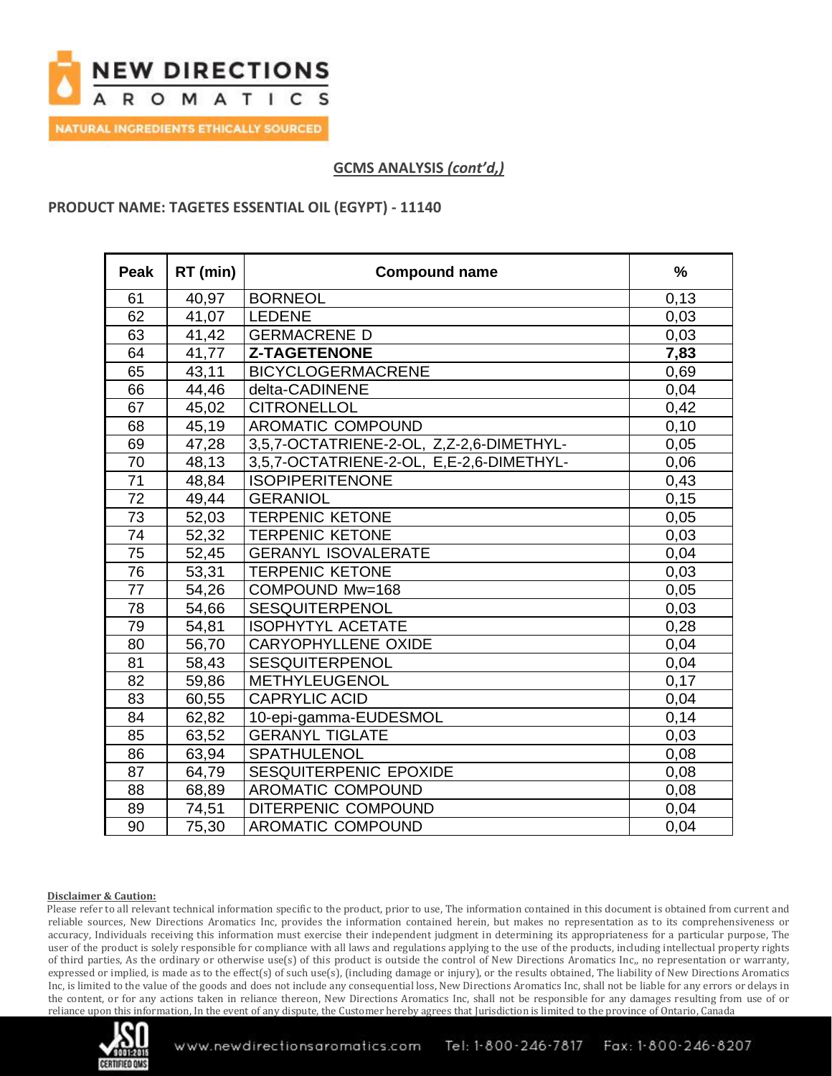

**GCMS ANALYSIS** *(cont'd,)*

### **PRODUCT NAME: TAGETES ESSENTIAL OIL (EGYPT) - 11140**

| Peak | RT (min) | <b>Compound name</b>                     | $\frac{9}{6}$ |
|------|----------|------------------------------------------|---------------|
| 61   | 40,97    | <b>BORNEOL</b>                           | 0,13          |
| 62   | 41,07    | <b>LEDENE</b>                            | 0,03          |
| 63   | 41,42    | <b>GERMACRENE D</b>                      | 0,03          |
| 64   | 41,77    | <b>Z-TAGETENONE</b>                      | 7,83          |
| 65   | 43,11    | <b>BICYCLOGERMACRENE</b>                 | 0,69          |
| 66   | 44,46    | delta-CADINENE                           | 0,04          |
| 67   | 45,02    | <b>CITRONELLOL</b>                       | 0,42          |
| 68   | 45,19    | AROMATIC COMPOUND                        | 0,10          |
| 69   | 47,28    | 3,5,7-OCTATRIENE-2-OL, Z,Z-2,6-DIMETHYL- | 0,05          |
| 70   | 48,13    | 3,5,7-OCTATRIENE-2-OL, E,E-2,6-DIMETHYL- | 0,06          |
| 71   | 48,84    | <b>ISOPIPERITENONE</b>                   | 0,43          |
| 72   | 49,44    | <b>GERANIOL</b>                          | 0,15          |
| 73   | 52,03    | <b>TERPENIC KETONE</b>                   | 0,05          |
| 74   | 52,32    | <b>TERPENIC KETONE</b>                   | 0,03          |
| 75   | 52,45    | <b>GERANYL ISOVALERATE</b>               | 0,04          |
| 76   | 53,31    | <b>TERPENIC KETONE</b>                   | 0,03          |
| 77   | 54,26    | COMPOUND Mw=168                          | 0,05          |
| 78   | 54,66    | <b>SESQUITERPENOL</b>                    | 0,03          |
| 79   | 54,81    | <b>ISOPHYTYL ACETATE</b>                 | 0,28          |
| 80   | 56,70    | <b>CARYOPHYLLENE OXIDE</b>               | 0,04          |
| 81   | 58,43    | <b>SESQUITERPENOL</b>                    | 0,04          |
| 82   | 59,86    | METHYLEUGENOL                            | 0,17          |
| 83   | 60,55    | <b>CAPRYLIC ACID</b>                     | 0,04          |
| 84   | 62,82    | 10-epi-gamma-EUDESMOL                    | 0,14          |
| 85   | 63,52    | <b>GERANYL TIGLATE</b>                   | 0,03          |
| 86   | 63,94    | <b>SPATHULENOL</b>                       | 0,08          |
| 87   | 64,79    | SESQUITERPENIC EPOXIDE                   | 0,08          |
| 88   | 68,89    | AROMATIC COMPOUND                        | 0,08          |
| 89   | 74,51    | DITERPENIC COMPOUND                      | 0,04          |
| 90   | 75,30    | <b>AROMATIC COMPOUND</b>                 | 0,04          |

### **Disclaimer & Caution:**

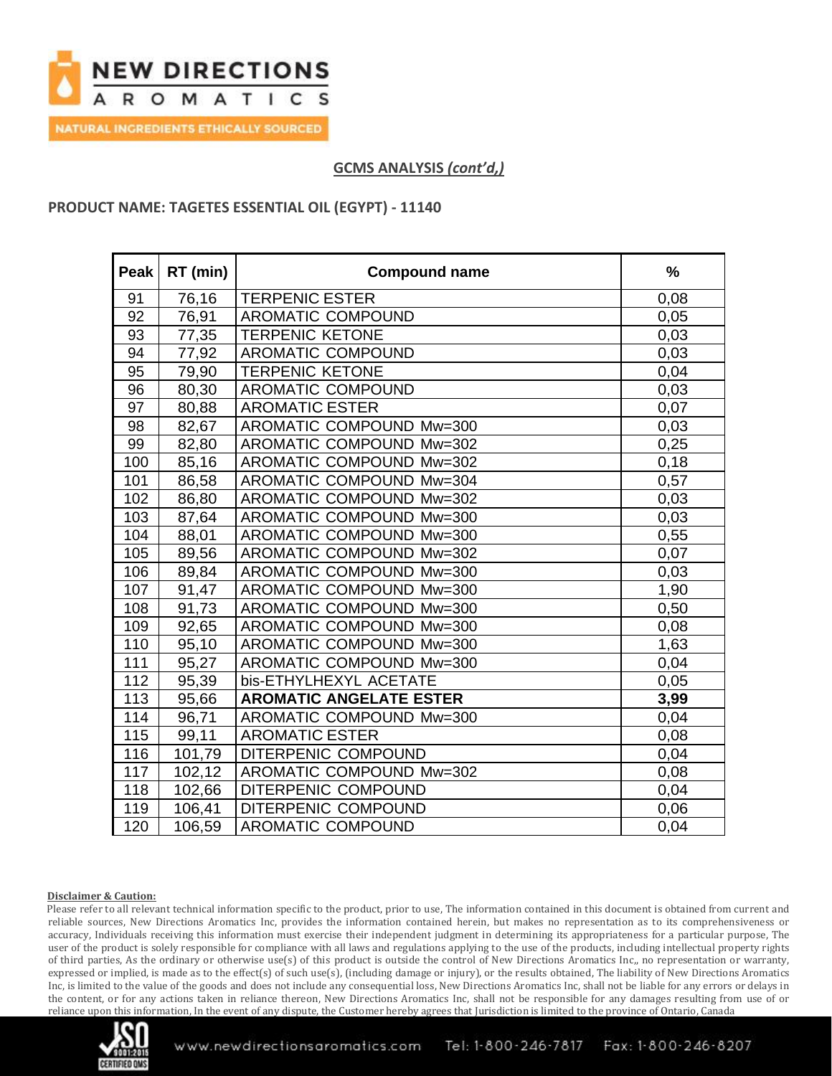

**GCMS ANALYSIS** *(cont'd,)*

## **PRODUCT NAME: TAGETES ESSENTIAL OIL (EGYPT) - 11140**

| Peak | RT (min) | <b>Compound name</b>           | $\frac{9}{6}$ |
|------|----------|--------------------------------|---------------|
| 91   | 76,16    | <b>TERPENIC ESTER</b>          | 0,08          |
| 92   | 76,91    | AROMATIC COMPOUND              | 0,05          |
| 93   | 77,35    | <b>TERPENIC KETONE</b>         | 0,03          |
| 94   | 77,92    | AROMATIC COMPOUND              | 0,03          |
| 95   | 79,90    | <b>TERPENIC KETONE</b>         | 0,04          |
| 96   | 80,30    | AROMATIC COMPOUND              | 0,03          |
| 97   | 80,88    | <b>AROMATIC ESTER</b>          | 0,07          |
| 98   | 82,67    | AROMATIC COMPOUND Mw=300       | 0,03          |
| 99   | 82,80    | AROMATIC COMPOUND Mw=302       | 0,25          |
| 100  | 85,16    | AROMATIC COMPOUND Mw=302       | 0,18          |
| 101  | 86,58    | AROMATIC COMPOUND Mw=304       | 0,57          |
| 102  | 86,80    | AROMATIC COMPOUND Mw=302       | 0,03          |
| 103  | 87,64    | AROMATIC COMPOUND Mw=300       | 0,03          |
| 104  | 88,01    | AROMATIC COMPOUND Mw=300       | 0,55          |
| 105  | 89,56    | AROMATIC COMPOUND Mw=302       | 0,07          |
| 106  | 89,84    | AROMATIC COMPOUND Mw=300       | 0,03          |
| 107  | 91,47    | AROMATIC COMPOUND Mw=300       | 1,90          |
| 108  | 91,73    | AROMATIC COMPOUND Mw=300       | 0,50          |
| 109  | 92,65    | AROMATIC COMPOUND Mw=300       | 0,08          |
| 110  | 95,10    | AROMATIC COMPOUND Mw=300       | 1,63          |
| 111  | 95,27    | AROMATIC COMPOUND Mw=300       | 0,04          |
| 112  | 95,39    | bis-ETHYLHEXYL ACETATE         | 0,05          |
| 113  | 95,66    | <b>AROMATIC ANGELATE ESTER</b> | 3,99          |
| 114  | 96,71    | AROMATIC COMPOUND Mw=300       | 0,04          |
| 115  | 99,11    | <b>AROMATIC ESTER</b>          | 0,08          |
| 116  | 101,79   | DITERPENIC COMPOUND            | 0,04          |
| 117  | 102,12   | AROMATIC COMPOUND Mw=302       | 0,08          |
| 118  | 102,66   | DITERPENIC COMPOUND            | 0,04          |
| 119  | 106,41   | DITERPENIC COMPOUND            | 0,06          |
| 120  | 106,59   | AROMATIC COMPOUND              | 0,04          |

### **Disclaimer & Caution:**